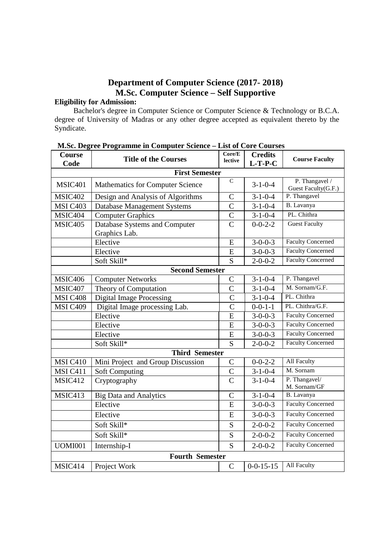## **Department of Computer Science (2017- 2018) M.Sc. Computer Science – Self Supportive**

# **Eligibility for Admission:**

 Bachelor's degree in Computer Science or Computer Science & Technology or B.C.A. degree of University of Madras or any other degree accepted as equivalent thereto by the Syndicate.

| Course<br>Code  | Core/E<br><b>Title of the Courses</b><br>lective |                | <b>Credits</b><br>$L-T-P-C$ | <b>Course Faculty</b>                 |
|-----------------|--------------------------------------------------|----------------|-----------------------------|---------------------------------------|
|                 | <b>First Semester</b>                            |                |                             |                                       |
| <b>MSIC401</b>  | Mathematics for Computer Science                 | $\mathbf C$    | $3 - 1 - 0 - 4$             | P. Thangavel /<br>Guest Faculty(G.F.) |
| MSIC402         | Design and Analysis of Algorithms                | $\mathcal{C}$  | $3 - 1 - 0 - 4$             | P. Thangavel                          |
| <b>MSI C403</b> | <b>Database Management Systems</b>               | $\overline{C}$ | $3 - 1 - 0 - 4$             | B. Lavanya                            |
| MSIC404         | <b>Computer Graphics</b>                         | $\overline{C}$ | $3 - 1 - 0 - 4$             | PL. Chithra                           |
| <b>MSIC405</b>  | Database Systems and Computer<br>Graphics Lab.   | $\overline{C}$ | $0 - 0 - 2 - 2$             | <b>Guest Faculty</b>                  |
|                 | Elective                                         | E              | $3 - 0 - 0 - 3$             | <b>Faculty Concerned</b>              |
|                 | Elective                                         | E              | $3 - 0 - 0 - 3$             | <b>Faculty Concerned</b>              |
|                 | Soft Skill*                                      | S              | $2 - 0 - 0 - 2$             | <b>Faculty Concerned</b>              |
|                 | <b>Second Semester</b>                           |                |                             |                                       |
| MSIC406         | <b>Computer Networks</b>                         | $\overline{C}$ | $3 - 1 - 0 - 4$             | P. Thangavel                          |
| MSIC407         | Theory of Computation                            | $\overline{C}$ | $3 - 1 - 0 - 4$             | M. Sornam/G.F.                        |
| MSI C408        | <b>Digital Image Processing</b>                  | $\mathcal{C}$  | $3 - 1 - 0 - 4$             | PL. Chithra                           |
| <b>MSI C409</b> | Digital Image processing Lab.                    | $\overline{C}$ | $0 - 0 - 1 - 1$             | PL. Chithra/G.F.                      |
|                 | Elective                                         | E              | $3 - 0 - 0 - 3$             | <b>Faculty Concerned</b>              |
|                 | Elective                                         | E              | $3 - 0 - 0 - 3$             | <b>Faculty Concerned</b>              |
|                 | Elective                                         | E              | $3 - 0 - 0 - 3$             | <b>Faculty Concerned</b>              |
|                 | Soft Skill*                                      | S              | $2 - 0 - 0 - 2$             | <b>Faculty Concerned</b>              |
|                 | <b>Third Semester</b>                            |                |                             |                                       |
| MSI C410        | Mini Project and Group Discussion                | $\mathcal{C}$  | $0 - 0 - 2 - 2$             | All Faculty                           |
| MSI C411        | <b>Soft Computing</b>                            | $\mathcal{C}$  | $3-1-0-4$                   | M. Sornam                             |
| MSIC412         | Cryptography                                     | $\overline{C}$ | $3 - 1 - 0 - 4$             | P. Thangavel/<br>M. Sornam/GF         |
| MSIC413         | <b>Big Data and Analytics</b>                    | $\overline{C}$ | $3 - 1 - 0 - 4$             | B. Lavanya                            |
|                 | Elective                                         | $\overline{E}$ | $3 - 0 - 0 - 3$             | <b>Faculty Concerned</b>              |
|                 | Elective                                         | E              | $3 - 0 - 0 - 3$             | <b>Faculty Concerned</b>              |
|                 | Soft Skill*                                      | S              | $2 - 0 - 0 - 2$             | <b>Faculty Concerned</b>              |
|                 | Soft Skill*                                      | S              | $2 - 0 - 0 - 2$             | <b>Faculty Concerned</b>              |
| <b>UOMI001</b>  | Internship-I                                     | S              | $2 - 0 - 0 - 2$             | <b>Faculty Concerned</b>              |
|                 | <b>Fourth Semester</b>                           |                |                             |                                       |
| MSIC414         | Project Work                                     | $\mathcal{C}$  | $0 - 0 - 15 - 15$           | All Faculty                           |

| M.Sc. Degree Programme in Computer Science - List of Core Courses |  |                                                                                                                                                                                                                                      |  |
|-------------------------------------------------------------------|--|--------------------------------------------------------------------------------------------------------------------------------------------------------------------------------------------------------------------------------------|--|
|                                                                   |  | <u>in the second contract of the second contract of the second contract of the second contract of the second contract of the second contract of the second contract of the second contract of the second contract of the second </u> |  |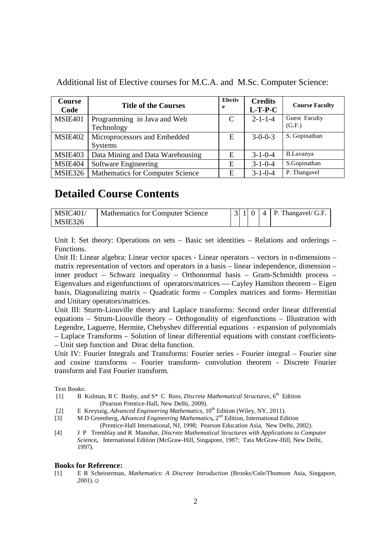| <b>Course</b><br>Code | <b>Title of the Courses</b>                    | Electiv<br>e | <b>Credits</b><br>$L-T-P-C$ | <b>Course Faculty</b>   |
|-----------------------|------------------------------------------------|--------------|-----------------------------|-------------------------|
| <b>MSIE401</b>        | Programming in Java and Web<br>Technology      | C            | $2 - 1 - 1 - 4$             | Guest Faculty<br>(G.F.) |
| MSIE402               | Microprocessors and Embedded<br><b>Systems</b> | E            | $3 - 0 - 0 - 3$             | S. Gopinathan           |
| MSIE403               | Data Mining and Data Warehousing               | E            | $3 - 1 - 0 - 4$             | <b>B.Lavanya</b>        |
| <b>MSIE404</b>        | Software Engineering                           | E            | $3 - 1 - 0 - 4$             | S.Gopinathan            |
| <b>MSIE326</b>        | Mathematics for Computer Science               | E            | $3 - 1 - 0 - 4$             | P. Thangavel            |

Additional list of Elective courses for M.C.A. and M.Sc. Computer Science:

# **Detailed Course Contents**

| MSIC401 | Mathematics for Computer Science |  |  | $ 3 1 0 4 $ P. Thangavel/ G.F. |
|---------|----------------------------------|--|--|--------------------------------|
| MSIE326 |                                  |  |  |                                |

Unit I: Set theory: Operations on sets – Basic set identities – Relations and orderings – Functions.

Unit II: Linear algebra: Linear vector spaces - Linear operators – vectors in n-dimensions – matrix representation of vectors and operators in a basis – linear independence, dimension – inner product – Schwarz inequality – Orthonormal basis – Gram-Schmidth process – Eigenvalues and eigenfunctions of operators/matrices –– Cayley Hamilton theorem – Eigen basis, Diagonalizing matrix – Quadratic forms – Complex matrices and forms- Hermitian and Unitary operators/matrices.

Unit III: Sturm-Liouville theory and Laplace transforms: Second order linear differential equations – Strum-Liouville theory – Orthogonality of eigenfunctions – Illustration with Legendre, Laguerre, Hermite, Chebyshev differential equations - expansion of polynomials – Laplace Transforms – Solution of linear differential equations with constant coefficients- – Unit step function and Dirac delta function.

Unit IV: Fourier Integrals and Transforms: Fourier series - Fourier integral – Fourier sine and cosine transforms – Fourier transform- convolution theorem - Discrete Fourier transform and Fast Fourier transform.

Text Books:

- [1] B Kolman, R C Busby, and S<sup>\*</sup> C Ross, *Discrete Mathematical Structures*, 6<sup>th</sup> Edition (Pearson Prentice*-*Hall, New Delhi, 2009).
- [2] E Kreyszig, *Advanced Engineering Mathematics*,  $10^{th}$  Edition (Wiley, NY, 2011).
- [3] M D Greenberg, *Advanced Engineering Mathematics*, 2<sup>nd</sup> Edition, International Edition (Prentice-Hall International, NJ, 1998; Pearson Education Asia, New Delhi, 2002).
- [4] J P Tremblay and R Manohar, *Discrete Mathematical Structures with Applications to Computer Science,* International Edition (McGraw*-*Hill, Singapore, 1987; Tata McGraw*-*Hill, New Delhi, 1997).

#### **Books for Reference:**

[1] E R Scheinerman, *Mathematics*: *A Discrete Introduction* (Brooks/Cole/Thomson Asia, Singapore,  $2001$ ).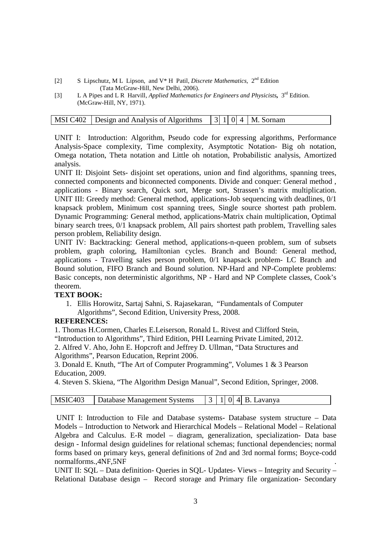- [2] S Lipschutz, M L Lipson, and V\* H Patil, *Discrete Mathematics*, 2nd Edition (Tata McGraw-Hill, New Delhi, 2006).<br>
L A Pipes and L R Harvill, *Applied Mathematics*
- [3] L A Pipes and L R Harvill, *Applied Mathematics for Engineers and Physicists,* 3rd Edition. (McGraw*-*Hill, NY, 1971).

| MSI C402 Design and Analysis of Algorithms $ 3 1 0 4 $ M. Sornam |  |  |  |
|------------------------------------------------------------------|--|--|--|
|                                                                  |  |  |  |

UNIT I: Introduction: Algorithm, Pseudo code for expressing algorithms, Performance Analysis-Space complexity, Time complexity, Asymptotic Notation- Big oh notation, Omega notation, Theta notation and Little oh notation, Probabilistic analysis, Amortized analysis.

UNIT II: Disjoint Sets- disjoint set operations, union and find algorithms, spanning trees, connected components and biconnected components. Divide and conquer: General method , applications - Binary search, Quick sort, Merge sort, Strassen's matrix multiplication. UNIT III: Greedy method: General method, applications-Job sequencing with deadlines, 0/1 knapsack problem, Minimum cost spanning trees, Single source shortest path problem. Dynamic Programming: General method, applications-Matrix chain multiplication, Optimal binary search trees, 0/1 knapsack problem, All pairs shortest path problem, Travelling sales person problem, Reliability design.

UNIT IV: Backtracking: General method, applications-n-queen problem, sum of subsets problem, graph coloring, Hamiltonian cycles. Branch and Bound: General method, applications - Travelling sales person problem, 0/1 knapsack problem- LC Branch and Bound solution, FIFO Branch and Bound solution. NP-Hard and NP-Complete problems: Basic concepts, non deterministic algorithms, NP - Hard and NP Complete classes, Cook's theorem.

### **TEXT BOOK:**

1. Ellis Horowitz, Sartaj Sahni, S. Rajasekaran, "Fundamentals of Computer Algorithms", Second Edition, University Press, 2008.

### **REFERENCES:**

1. Thomas H.Cormen, Charles E.Leiserson, Ronald L. Rivest and Clifford Stein, "Introduction to Algorithms", Third Edition, PHI Learning Private Limited, 2012.

2. Alfred V. Aho, John E. Hopcroft and Jeffrey D. Ullman, "Data Structures and Algorithms", Pearson Education, Reprint 2006.

3. Donald E. Knuth, "The Art of Computer Programming", Volumes 1 & 3 Pearson Education, 2009.

4. Steven S. Skiena, "The Algorithm Design Manual", Second Edition, Springer, 2008.

| MSIC403   Database Management Systems |  |  | $ 3 1 0 4 B$ . Lavanya |
|---------------------------------------|--|--|------------------------|

 UNIT I: Introduction to File and Database systems- Database system structure – Data Models – Introduction to Network and Hierarchical Models – Relational Model – Relational Algebra and Calculus. E-R model – diagram, generalization, specialization- Data base design - Informal design guidelines for relational schemas; functional dependencies; normal forms based on primary keys, general definitions of 2nd and 3rd normal forms; Boyce-codd normalforms.,4NF,5NF .

UNIT II: SQL – Data definition- Queries in SQL- Updates- Views – Integrity and Security – Relational Database design – Record storage and Primary file organization- Secondary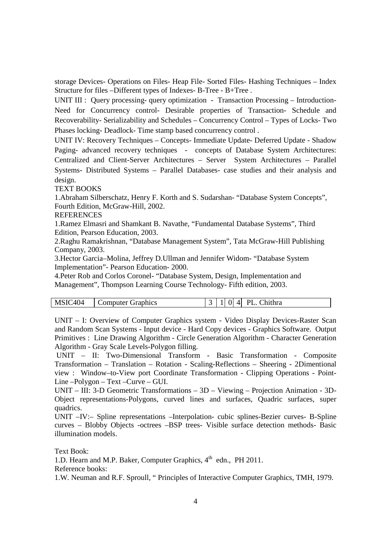storage Devices- Operations on Files- Heap File- Sorted Files- Hashing Techniques – Index Structure for files –Different types of Indexes- B-Tree - B+Tree .

UNIT III : Query processing- query optimization - Transaction Processing – Introduction-Need for Concurrency control- Desirable properties of Transaction- Schedule and Recoverability- Serializability and Schedules – Concurrency Control – Types of Locks- Two Phases locking- Deadlock- Time stamp based concurrency control .

UNIT IV: Recovery Techniques – Concepts- Immediate Update- Deferred Update - Shadow Paging- advanced recovery techniques - concepts of Database System Architectures: Centralized and Client-Server Architectures – Server System Architectures – Parallel Systems- Distributed Systems – Parallel Databases- case studies and their analysis and design.

TEXT BOOKS

1.Abraham Silberschatz, Henry F. Korth and S. Sudarshan- "Database System Concepts", Fourth Edition, McGraw-Hill, 2002.

**REFERENCES** 

1.Ramez Elmasri and Shamkant B. Navathe, "Fundamental Database Systems", Third Edition, Pearson Education, 2003.

2.Raghu Ramakrishnan, "Database Management System", Tata McGraw-Hill Publishing Company, 2003.

3.Hector Garcia–Molina, Jeffrey D.Ullman and Jennifer Widom- "Database System Implementation"- Pearson Education- 2000.

4.Peter Rob and Corlos Coronel- "Database System, Design, Implementation and Management", Thompson Learning Course Technology- Fifth edition, 2003.

| <b>Chithra</b><br>۔404<br><b>MSIC</b><br>DI<br>$\Lambda$ .<br>ΩI<br>Computer Graphics |
|---------------------------------------------------------------------------------------|
|---------------------------------------------------------------------------------------|

UNIT – I: Overview of Computer Graphics system - Video Display Devices-Raster Scan and Random Scan Systems - Input device - Hard Copy devices - Graphics Software. Output Primitives : Line Drawing Algorithm - Circle Generation Algorithm - Character Generation Algorithm - Gray Scale Levels-Polygon filling.

 UNIT – II: Two-Dimensional Transform - Basic Transformation - Composite Transformation – Translation – Rotation - Scaling-Reflections – Sheering - 2Dimentional view : Window–to-View port Coordinate Transformation - Clipping Operations - Point-Line –Polygon – Text –Curve – GUI.

UNIT – III: 3-D Geometric Transformations – 3D – Viewing – Projection Animation - 3D-Object representations-Polygons, curved lines and surfaces, Quadric surfaces, super quadrics.

UNIT –IV:– Spline representations –Interpolation- cubic splines-Bezier curves- B-Spline curves – Blobby Objects -octrees –BSP trees- Visible surface detection methods- Basic illumination models.

Text Book:

1.D. Hearn and M.P. Baker, Computer Graphics,  $4<sup>th</sup>$  edn., PH 2011.

Reference books:

1.W. Neuman and R.F. Sproull, " Principles of Interactive Computer Graphics, TMH, 1979.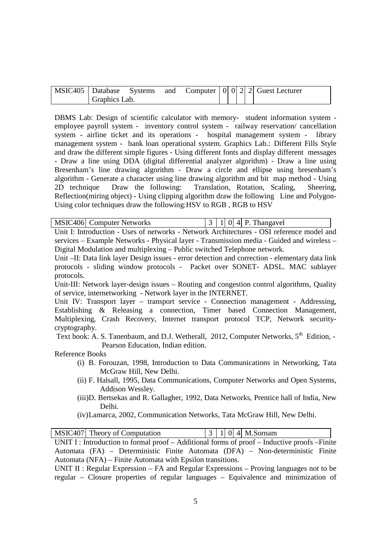| MSIC405 Database Systems |  |  |  | and Computer $ 0 0 2 2 $ Guest Lecturer |
|--------------------------|--|--|--|-----------------------------------------|
| Graphics Lab.            |  |  |  |                                         |

DBMS Lab: Design of scientific calculator with memory- student information system employee payroll system - inventory control system - railway reservation/ cancellation system - airline ticket and its operations - hospital management system - library management system - bank loan operational system. Graphics Lab.: Different Fills Style and draw the different simple figures - Using different fonts and display different messages - Draw a line using DDA (digital differential analyzer algorithm) - Draw a line using Bresenham's line drawing algorithm - Draw a circle and ellipse using bresenham's algorithm - Generate a character using line drawing algorithm and bit map method - Using 2D technique Draw the following: Translation, Rotation, Scaling, Sheering, Reflection(miring object) - Using clipping algorithm draw the following Line and Polygon-Using color techniques draw the following:HSV to RGB , RGB to HSV

|  | MSIC406 Computer Networks |  |  |  |  | $\vert 3 \vert 1 \vert 0 \vert 4 \vert$ P. Thangavel |
|--|---------------------------|--|--|--|--|------------------------------------------------------|
|--|---------------------------|--|--|--|--|------------------------------------------------------|

Unit I: Introduction - Uses of networks - Network Architectures - OSI reference model and services – Example Networks - Physical layer - Transmission media - Guided and wireless – Digital Modulation and multiplexing – Public switched Telephone network.

Unit –II: Data link layer Design issues - error detection and correction - elementary data link protocols - sliding window protocols - Packet over SONET- ADSL. MAC sublayer protocols.

Unit-III: Network layer-design issues – Routing and congestion control algorithms, Quality of service, internetworking - Network layer in the INTERNET.

Unit IV: Transport layer – transport service - Connection management - Addressing, Establishing & Releasing a connection, Timer based Connection Management, Multiplexing, Crash Recovery, Internet transport protocol TCP, Network securitycryptography.

Text book: A. S. Tanenbaum, and D.J. Wetherall, 2012, Computer Networks, 5<sup>th</sup> Edition. -Pearson Education, Indian edition.

#### Reference Books

- (i) B. Forouzan, 1998, Introduction to Data Communications in Networking, Tata McGraw Hill, New Delhi.
- (ii) F. Halsall, 1995, Data Communications, Computer Networks and Open Systems, Addison Wessley.
- (iii)D. Bertsekas and R. Gallagher, 1992, Data Networks, Prentice hall of India, New Delhi.
- (iv)Lamarca, 2002, Communication Networks, Tata McGraw Hill, New Delhi.

| MSIC407 Theory of Computation                                                                 |  | $ 3 1 0 4 $ M.Sornam |  |
|-----------------------------------------------------------------------------------------------|--|----------------------|--|
| UNIT I : Introduction to formal proof – Additional forms of proof – Inductive proofs – Finite |  |                      |  |
| Automata (FA) – Deterministic Finite Automata (DFA) – Non-deterministic Finite                |  |                      |  |
| Automata (NFA) – Finite Automata with Epsilon transitions.                                    |  |                      |  |

UNIT II: Regular Expression – FA and Regular Expressions – Proving languages not to be regular – Closure properties of regular languages – Equivalence and minimization of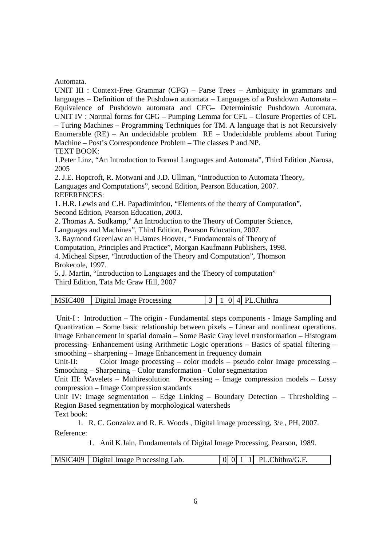#### Automata.

UNIT III : Context-Free Grammar (CFG) – Parse Trees – Ambiguity in grammars and languages – Definition of the Pushdown automata – Languages of a Pushdown Automata – Equivalence of Pushdown automata and CFG– Deterministic Pushdown Automata. UNIT IV : Normal forms for CFG – Pumping Lemma for CFL – Closure Properties of CFL – Turing Machines – Programming Techniques for TM. A language that is not Recursively Enumerable (RE) – An undecidable problem RE – Undecidable problems about Turing Machine – Post's Correspondence Problem – The classes P and NP. TEXT BOOK:

1.Peter Linz, "An Introduction to Formal Languages and Automata", Third Edition ,Narosa, 2005

2. J.E. Hopcroft, R. Motwani and J.D. Ullman, "Introduction to Automata Theory, Languages and Computations", second Edition, Pearson Education, 2007. REFERENCES:

1. H.R. Lewis and C.H. Papadimitriou, "Elements of the theory of Computation", Second Edition, Pearson Education, 2003.

2. Thomas A. Sudkamp," An Introduction to the Theory of Computer Science,

Languages and Machines", Third Edition, Pearson Education, 2007.

3. Raymond Greenlaw an H.James Hoover, " Fundamentals of Theory of

Computation, Principles and Practice", Morgan Kaufmann Publishers, 1998.

4. Micheal Sipser, "Introduction of the Theory and Computation", Thomson Brokecole, 1997.

5. J. Martin, "Introduction to Languages and the Theory of computation" Third Edition, Tata Mc Graw Hill, 2007

| MSIC408 | Digital Image Processing | 4 PL.Chithra<br>$\Omega$ |  |
|---------|--------------------------|--------------------------|--|
|---------|--------------------------|--------------------------|--|

 Unit-I : Introduction – The origin - Fundamental steps components - Image Sampling and Quantization – Some basic relationship between pixels – Linear and nonlinear operations. Image Enhancement in spatial domain – Some Basic Gray level transformation – Histogram processing- Enhancement using Arithmetic Logic operations – Basics of spatial filtering – smoothing – sharpening – Image Enhancement in frequency domain

Unit-II: Color Image processing – color models – pseudo color Image processing – Smoothing – Sharpening – Color transformation - Color segmentation

Unit III: Wavelets – Multiresolution Processing – Image compression models – Lossy compression – Image Compression standards

Unit IV: Image segmentation – Edge Linking – Boundary Detection – Thresholding – Region Based segmentation by morphological watersheds

Text book:

1. R. C. Gonzalez and R. E. Woods , Digital image processing, 3/e , PH, 2007. Reference:

1. Anil K.Jain, Fundamentals of Digital Image Processing, Pearson, 1989.

| MSIC409   Digital Image Processing Lab. |  |  |  |  | $\begin{bmatrix} 0 & 0 & 1 & 1 \end{bmatrix}$ PL.Chithra/G.F. |
|-----------------------------------------|--|--|--|--|---------------------------------------------------------------|
|-----------------------------------------|--|--|--|--|---------------------------------------------------------------|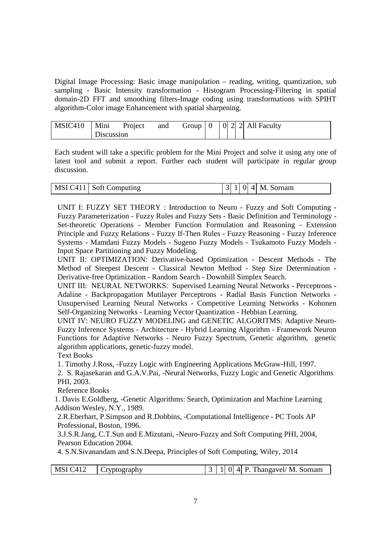Digital Image Processing: Basic image manipulation – reading, writing, quantization, sub sampling - Basic Intensity transformation - Histogram Processing-Filtering in spatial domain-2D FFT and smoothing filters-Image coding using transformations with SPIHT algorithm-Color image Enhancement with spatial sharpening.

| MSIC410 | Mini       | Project | and |  |  |  |
|---------|------------|---------|-----|--|--|--|
|         | Discussion |         |     |  |  |  |

Each student will take a specific problem for the Mini Project and solve it using any one of latest tool and submit a report. Further each student will participate in regular group discussion.

| MSI C411   Soft Computing |  |  | $ 3 1 0 4 $ M. Sornam |
|---------------------------|--|--|-----------------------|

UNIT I: FUZZY SET THEORY : Introduction to Neuro - Fuzzy and Soft Computing - Fuzzy Parameterization - Fuzzy Rules and Fuzzy Sets - Basic Definition and Terminology - Set-theoretic Operations - Member Function Formulation and Reasoning - Extension Principle and Fuzzy Relations - Fuzzy If-Then Rules - Fuzzy Reasoning - Fuzzy Inference Systems - Mamdani Fuzzy Models - Sugeno Fuzzy Models - Tsukamoto Fuzzy Models - Input Space Partitioning and Fuzzy Modeling.

UNIT II: OPTIMIZATION: Derivative-based Optimization - Descent Methods - The Method of Steepest Descent - Classical Newton Method - Step Size Determination - Derivative-free Optimization - Random Search - Downhill Simplex Search.

UNIT III: NEURAL NETWORKS: Supervised Learning Neural Networks - Perceptrons - Adaline - Backpropagation Mutilayer Perceptrons - Radial Basis Function Networks - Unsupervised Learning Neural Networks - Competitive Learning Networks - Kohonen Self-Organizing Networks - Learning Vector Quantization - Hebbian Learning.

UNIT IV: NEURO FUZZY MODELING and GENETIC ALGORITMS: Adaptive Neuro-Fuzzy Inference Systems - Architecture - Hybrid Learning Algorithm - Framework Neuron Functions for Adaptive Networks - Neuro Fuzzy Spectrum, Genetic algorithm, genetic algorithm applications, genetic-fuzzy model.

Text Books

1. Timothy J.Ross, -Fuzzy Logic with Engineering Applications McGraw-Hill, 1997.

2. S. Rajasekaran and G.A.V.Pai, -Neural Networks, Fuzzy Logic and Genetic Algorithms PHI, 2003.

Reference Books

1. Davis E.Goldberg, -Genetic Algorithms: Search, Optimization and Machine Learning Addison Wesley, N.Y., 1989.

2.R.Eberhart, P.Simpson and R.Dobbins, -Computational Intelligence - PC Tools AP Professional, Boston, 1996.

3.J.S.R.Jang, C.T.Sun and E.Mizutani, -Neuro-Fuzzy and Soft Computing PHI, 2004, Pearson Education 2004.

4. S.N.Sivanandam and S.N.Deepa, Principles of Soft Computing, Wiley, 2014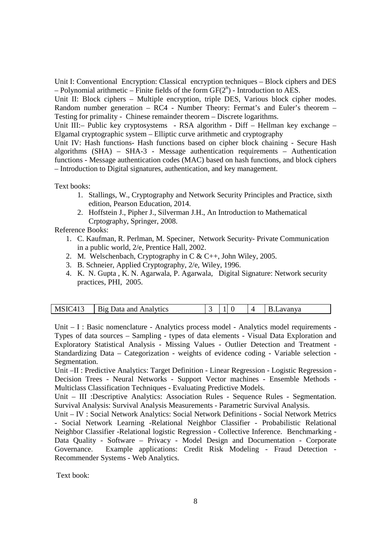Unit I: Conventional Encryption: Classical encryption techniques – Block ciphers and DES  $-$  Polynomial arithmetic  $-$  Finite fields of the form  $GF(2^n)$  - Introduction to AES.

Unit II: Block ciphers – Multiple encryption, triple DES, Various block cipher modes. Random number generation – RC4 - Number Theory: Fermat's and Euler's theorem – Testing for primality - Chinese remainder theorem – Discrete logarithms.

Unit III:– Public key cryptosystems - RSA algorithm - Diff – Hellman key exchange – Elgamal cryptographic system – Elliptic curve arithmetic and cryptography

Unit IV: Hash functions- Hash functions based on cipher block chaining - Secure Hash algorithms (SHA) – SHA-3 - Message authentication requirements – Authentication functions - Message authentication codes (MAC) based on hash functions, and block ciphers – Introduction to Digital signatures, authentication, and key management.

Text books:

- 1. Stallings, W., Cryptography and Network Security Principles and Practice, sixth edition, Pearson Education, 2014.
- 2. Hoffstein J., Pipher J., Silverman J.H., An Introduction to Mathematical Crptography, Springer, 2008.

Reference Books:

- 1. C. Kaufman, R. Perlman, M. Speciner, Network Security- Private Communication in a public world, 2/e, Prentice Hall, 2002.
- 2. M. Welschenbach, Cryptography in C & C++, John Wiley, 2005.
- 3. B. Schneier, Applied Cryptography, 2/e, Wiley, 1996.
- 4. K. N. Gupta , K. N. Agarwala, P. Agarwala, Digital Signature: Network security practices, PHI, 2005.

| $MSIC41-$<br>Data and Analytics<br>B12 |  |  |  | B.Lavanya |
|----------------------------------------|--|--|--|-----------|
|----------------------------------------|--|--|--|-----------|

Unit – I : Basic nomenclature - Analytics process model - Analytics model requirements - Types of data sources – Sampling - types of data elements - Visual Data Exploration and Exploratory Statistical Analysis - Missing Values - Outlier Detection and Treatment - Standardizing Data – Categorization - weights of evidence coding - Variable selection - Segmentation.

Unit –II : Predictive Analytics: Target Definition - Linear Regression - Logistic Regression - Decision Trees - Neural Networks - Support Vector machines - Ensemble Methods - Multiclass Classification Techniques - Evaluating Predictive Models.

Unit – III :Descriptive Analytics: Association Rules - Sequence Rules - Segmentation. Survival Analysis: Survival Analysis Measurements - Parametric Survival Analysis.

Unit – IV : Social Network Analytics: Social Network Definitions - Social Network Metrics - Social Network Learning -Relational Neighbor Classifier - Probabilistic Relational Neighbor Classifier -Relational logistic Regression - Collective Inference. Benchmarking - Data Quality - Software – Privacy - Model Design and Documentation - Corporate Governance. Example applications: Credit Risk Modeling - Fraud Detection - Recommender Systems - Web Analytics.

Text book: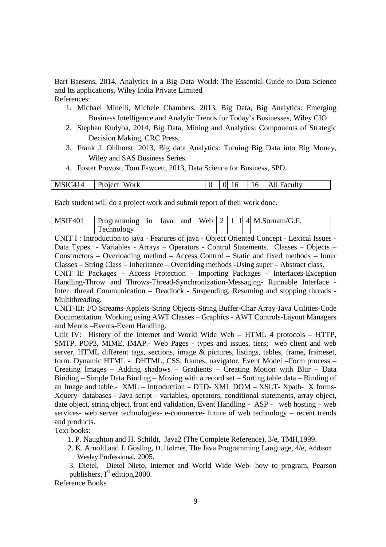Bart Baesens, 2014, Analytics in a Big Data World: The Essential Guide to Data Science and Its applications, Wiley India Private Limited References:

- 1. Michael Minelli, Michele Chambers, 2013, Big Data, Big Analytics: Emerging Business Intelligence and Analytic Trends for Today's Businesses, Wiley CIO
- 2. Stephan Kudyba, 2014, Big Data, Mining and Analytics: Components of Strategic Decision Making, CRC Press.
- 3. Frank J. Ohlhorst, 2013, Big data Analytics: Turning Big Data into Big Money, Wiley and SAS Business Series.
- 4. Foster Provost, Tom Fawcett, 2013, Data Science for Business, SPD.

Each student will do a project work and submit report of their work done.

| MSIE401 |            |  |  |  |  | Programming in Java and Web $2 \mid 1 \mid 4 \mid M.Sornam/G.F.$ |
|---------|------------|--|--|--|--|------------------------------------------------------------------|
|         | Technology |  |  |  |  |                                                                  |

UNIT I : Introduction to java - Features of java - Object Oriented Concept - Lexical Issues - Data Types - Variables - Arrays – Operators - Control Statements. Classes – Objects – Constructors – Overloading method – Access Control – Static and fixed methods – Inner Classes – String Class – Inheritance – Overriding methods -Using super – Abstract class. UNIT II: Packages – Access Protection – Importing Packages – Interfaces-Exception Handling-Throw and Throws-Thread-Synchronization-Messaging- Runnable Interface -

Inter thread Communication – Deadlock - Suspending, Resuming and stopping threads - Multithreading.

UNIT-III: I/O Streams-Applets-String Objects-String Buffer-Char Array-Java Utilities-Code Documentation. Working using AWT Classes – Graphics - AWT Controls-Layout Managers and Menus –Events-Event Handling.

Unit IV: History of the Internet and World Wide Web – HTML 4 protocols – HTTP, SMTP, POP3, MIME, IMAP.- Web Pages - types and issues, tiers; web client and web server, HTML different tags, sections, image & pictures, listings, tables, frame, frameset, form. Dynamic HTML - DHTML, CSS, frames, navigator, Event Model –Form process – Creating Images – Adding shadows – Gradients – Creating Motion with Blur – Data Binding – Simple Data Binding – Moving with a record set – Sorting table data – Binding of an Image and table.- XML – Introduction – DTD- XML DOM – XSLT- Xpath- X forms-Xquery- databases - Java script - variables, operators, conditional statements, array object, date object, string object, front end validation, Event Handling - ASP - web hosting – web services- web server technologies- e-commerce- future of web technology – recent trends and products.

Text books:

- 1. P. Naughton and H. Schildt, Java2 (The Complete Reference), 3/e, TMH,1999.
- 2. K. Arnold and J. Gosling, D. Holmes, The Java Programming Language, 4/e, Addison Wesley Professional, 2005.

3. Dietel, Dietel Nieto, Internet and World Wide Web- how to program, Pearson publishers,  $I<sup>st</sup>$  edition, 2000.

#### Reference Books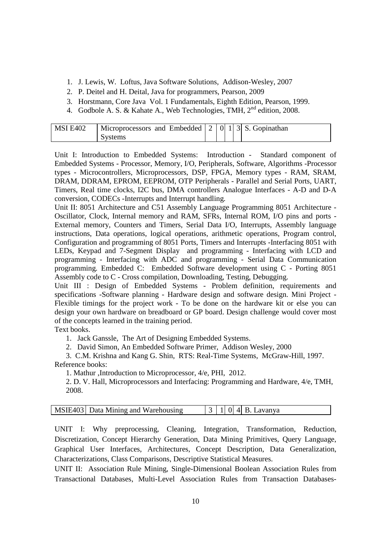- 1. J. Lewis, W. Loftus, Java Software Solutions, Addison-Wesley, 2007
- 2. P. Deitel and H. Deital, Java for programmers, Pearson, 2009
- 3. Horstmann, Core Java Vol. 1 Fundamentals, Eighth Edition, Pearson, 1999.
- 4. Godbole A. S. & Kahate A., Web Technologies, TMH,  $2<sup>nd</sup>$  edition, 2008.

| MSI E402 | Microprocessors and Embedded $\begin{bmatrix} 2 & 0 & 1 & 3 \end{bmatrix}$ S. Gopinathan |  |  |  |
|----------|------------------------------------------------------------------------------------------|--|--|--|
|          | Systems                                                                                  |  |  |  |

Unit I: Introduction to Embedded Systems: Introduction - Standard component of Embedded Systems - Processor, Memory, I/O, Peripherals, Software, Algorithms -Processor types - Microcontrollers, Microprocessors, DSP, FPGA, Memory types - RAM, SRAM, DRAM, DDRAM, EPROM, EEPROM, OTP Peripherals - Parallel and Serial Ports, UART, Timers, Real time clocks, I2C bus, DMA controllers Analogue Interfaces - A-D and D-A conversion, CODECs -Interrupts and Interrupt handling.

Unit II: 8051 Architecture and C51 Assembly Language Programming 8051 Architecture - Oscillator, Clock, Internal memory and RAM, SFRs, Internal ROM, I/O pins and ports - External memory, Counters and Timers, Serial Data I/O, Interrupts, Assembly language instructions, Data operations, logical operations, arithmetic operations, Program control, Configuration and programming of 8051 Ports, Timers and Interrupts -Interfacing 8051 with LEDs, Keypad and 7-Segment Display and programming - Interfacing with LCD and programming - Interfacing with ADC and programming - Serial Data Communication programming. Embedded C: Embedded Software development using C - Porting 8051 Assembly code to C - Cross compilation, Downloading, Testing, Debugging.

Unit III : Design of Embedded Systems - Problem definition, requirements and specifications -Software planning - Hardware design and software design. Mini Project - Flexible timings for the project work - To be done on the hardware kit or else you can design your own hardware on breadboard or GP board. Design challenge would cover most of the concepts learned in the training period.

Text books.

1. Jack Ganssle, The Art of Designing Embedded Systems.

2. David Simon, An Embedded Software Primer, Addison Wesley, 2000

 3. C.M. Krishna and Kang G. Shin, RTS: Real-Time Systems, McGraw-Hill, 1997. Reference books:

1. Mathur ,Introduction to Microprocessor, 4/e, PHI, 2012.

2. D. V. Hall, Microprocessors and Interfacing: Programming and Hardware, 4/e, TMH, 2008.

| MSIE403 Data Mining and Warehousing |  |  |  |  | $ 0 $ 4 B. Lavanya |
|-------------------------------------|--|--|--|--|--------------------|
|-------------------------------------|--|--|--|--|--------------------|

UNIT I: Why preprocessing, Cleaning, Integration, Transformation, Reduction, Discretization, Concept Hierarchy Generation, Data Mining Primitives, Query Language, Graphical User Interfaces, Architectures, Concept Description, Data Generalization, Characterizations, Class Comparisons, Descriptive Statistical Measures.

UNIT II: Association Rule Mining, Single-Dimensional Boolean Association Rules from Transactional Databases, Multi-Level Association Rules from Transaction Databases